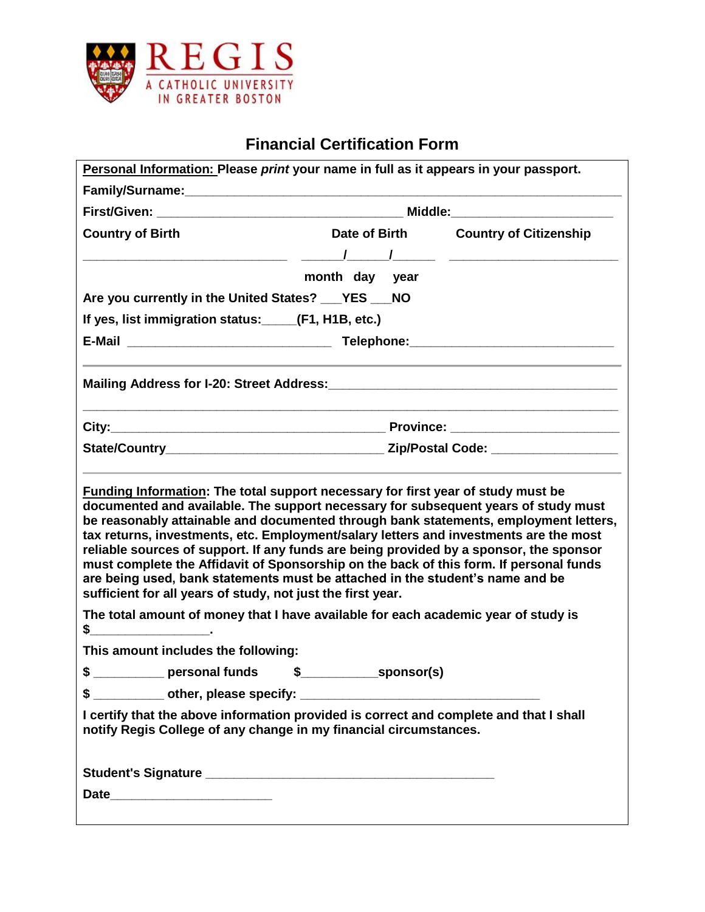

## **Financial Certification Form**

| Personal Information: Please print your name in full as it appears in your passport.                                                                                                                                                                                                                                                                                                                                                                                                                                                                                                                    |                  |                                      |  |
|---------------------------------------------------------------------------------------------------------------------------------------------------------------------------------------------------------------------------------------------------------------------------------------------------------------------------------------------------------------------------------------------------------------------------------------------------------------------------------------------------------------------------------------------------------------------------------------------------------|------------------|--------------------------------------|--|
|                                                                                                                                                                                                                                                                                                                                                                                                                                                                                                                                                                                                         |                  |                                      |  |
|                                                                                                                                                                                                                                                                                                                                                                                                                                                                                                                                                                                                         |                  |                                      |  |
| <b>Country of Birth</b>                                                                                                                                                                                                                                                                                                                                                                                                                                                                                                                                                                                 |                  | Date of Birth Country of Citizenship |  |
|                                                                                                                                                                                                                                                                                                                                                                                                                                                                                                                                                                                                         |                  |                                      |  |
|                                                                                                                                                                                                                                                                                                                                                                                                                                                                                                                                                                                                         | month day year   |                                      |  |
| Are you currently in the United States? ___ YES ___ NO                                                                                                                                                                                                                                                                                                                                                                                                                                                                                                                                                  |                  |                                      |  |
| If yes, list immigration status: _____(F1, H1B, etc.)                                                                                                                                                                                                                                                                                                                                                                                                                                                                                                                                                   |                  |                                      |  |
|                                                                                                                                                                                                                                                                                                                                                                                                                                                                                                                                                                                                         |                  |                                      |  |
|                                                                                                                                                                                                                                                                                                                                                                                                                                                                                                                                                                                                         |                  |                                      |  |
|                                                                                                                                                                                                                                                                                                                                                                                                                                                                                                                                                                                                         |                  |                                      |  |
|                                                                                                                                                                                                                                                                                                                                                                                                                                                                                                                                                                                                         |                  |                                      |  |
| documented and available. The support necessary for subsequent years of study must<br>be reasonably attainable and documented through bank statements, employment letters,<br>tax returns, investments, etc. Employment/salary letters and investments are the most<br>reliable sources of support. If any funds are being provided by a sponsor, the sponsor<br>must complete the Affidavit of Sponsorship on the back of this form. If personal funds<br>are being used, bank statements must be attached in the student's name and be<br>sufficient for all years of study, not just the first year. |                  |                                      |  |
| The total amount of money that I have available for each academic year of study is<br>$\frac{1}{2}$ $\frac{1}{2}$ $\frac{1}{2}$ $\frac{1}{2}$ $\frac{1}{2}$ $\frac{1}{2}$ $\frac{1}{2}$ $\frac{1}{2}$ $\frac{1}{2}$ $\frac{1}{2}$ $\frac{1}{2}$ $\frac{1}{2}$ $\frac{1}{2}$ $\frac{1}{2}$ $\frac{1}{2}$ $\frac{1}{2}$ $\frac{1}{2}$ $\frac{1}{2}$ $\frac{1}{2}$ $\frac{1}{2}$ $\frac{1}{2}$ $\frac{1}{2}$                                                                                                                                                                                               |                  |                                      |  |
| This amount includes the following:                                                                                                                                                                                                                                                                                                                                                                                                                                                                                                                                                                     |                  |                                      |  |
| \$<br>personal funds                                                                                                                                                                                                                                                                                                                                                                                                                                                                                                                                                                                    | \$<br>sponsor(s) |                                      |  |
|                                                                                                                                                                                                                                                                                                                                                                                                                                                                                                                                                                                                         |                  |                                      |  |
| I certify that the above information provided is correct and complete and that I shall<br>notify Regis College of any change in my financial circumstances.                                                                                                                                                                                                                                                                                                                                                                                                                                             |                  |                                      |  |
|                                                                                                                                                                                                                                                                                                                                                                                                                                                                                                                                                                                                         |                  |                                      |  |
|                                                                                                                                                                                                                                                                                                                                                                                                                                                                                                                                                                                                         |                  |                                      |  |
|                                                                                                                                                                                                                                                                                                                                                                                                                                                                                                                                                                                                         |                  |                                      |  |